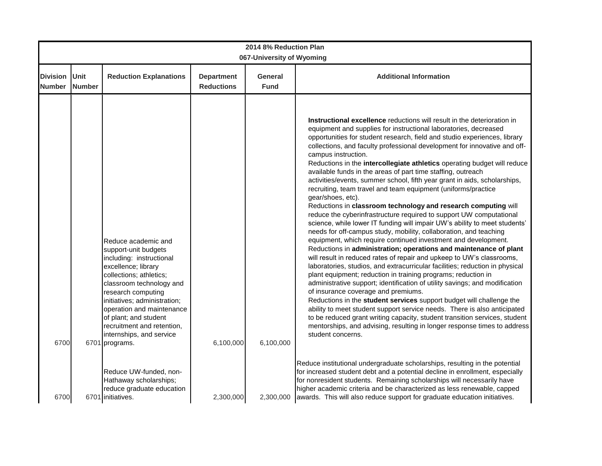| 2014 8% Reduction Plan<br>067-University of Wyoming |                       |                                                                                                                                                                                                                                                                                                                                               |                                        |                        |                                                                                                                                                                                                                                                                                                                                                                                                                                                                                                                                                                                                                                                                                                                                                                                                                                                                                                                                                                                                                                                                                                                                                                                                                                                                                                                                                                                                                                                                                                                                                                                                                                                                                                                                                                   |  |  |  |  |
|-----------------------------------------------------|-----------------------|-----------------------------------------------------------------------------------------------------------------------------------------------------------------------------------------------------------------------------------------------------------------------------------------------------------------------------------------------|----------------------------------------|------------------------|-------------------------------------------------------------------------------------------------------------------------------------------------------------------------------------------------------------------------------------------------------------------------------------------------------------------------------------------------------------------------------------------------------------------------------------------------------------------------------------------------------------------------------------------------------------------------------------------------------------------------------------------------------------------------------------------------------------------------------------------------------------------------------------------------------------------------------------------------------------------------------------------------------------------------------------------------------------------------------------------------------------------------------------------------------------------------------------------------------------------------------------------------------------------------------------------------------------------------------------------------------------------------------------------------------------------------------------------------------------------------------------------------------------------------------------------------------------------------------------------------------------------------------------------------------------------------------------------------------------------------------------------------------------------------------------------------------------------------------------------------------------------|--|--|--|--|
| <b>Division</b><br><b>Number</b>                    | Unit<br><b>Number</b> | <b>Reduction Explanations</b>                                                                                                                                                                                                                                                                                                                 | <b>Department</b><br><b>Reductions</b> | General<br><b>Fund</b> | <b>Additional Information</b>                                                                                                                                                                                                                                                                                                                                                                                                                                                                                                                                                                                                                                                                                                                                                                                                                                                                                                                                                                                                                                                                                                                                                                                                                                                                                                                                                                                                                                                                                                                                                                                                                                                                                                                                     |  |  |  |  |
| 6700                                                |                       | Reduce academic and<br>support-unit budgets<br>including: instructional<br>excellence; library<br>collections; athletics;<br>classroom technology and<br>research computing<br>initiatives; administration;<br>operation and maintenance<br>of plant; and student<br>recruitment and retention,<br>internships, and service<br>6701 programs. | 6,100,000                              | 6,100,000              | Instructional excellence reductions will result in the deterioration in<br>equipment and supplies for instructional laboratories, decreased<br>opportunities for student research, field and studio experiences, library<br>collections, and faculty professional development for innovative and off-<br>campus instruction.<br>Reductions in the intercollegiate athletics operating budget will reduce<br>available funds in the areas of part time staffing, outreach<br>activities/events, summer school, fifth year grant in aids, scholarships,<br>recruiting, team travel and team equipment (uniforms/practice<br>gear/shoes, etc).<br>Reductions in classroom technology and research computing will<br>reduce the cyberinfrastructure required to support UW computational<br>science, while lower IT funding will impair UW's ability to meet students'<br>needs for off-campus study, mobility, collaboration, and teaching<br>equipment, which require continued investment and development.<br>Reductions in administration; operations and maintenance of plant<br>will result in reduced rates of repair and upkeep to UW's classrooms,<br>laboratories, studios, and extracurricular facilities; reduction in physical<br>plant equipment; reduction in training programs; reduction in<br>administrative support; identification of utility savings; and modification<br>of insurance coverage and premiums.<br>Reductions in the student services support budget will challenge the<br>ability to meet student support service needs. There is also anticipated<br>to be reduced grant writing capacity, student transition services, student<br>mentorships, and advising, resulting in longer response times to address<br>student concerns. |  |  |  |  |
| 6700                                                |                       | Reduce UW-funded, non-<br>Hathaway scholarships;<br>reduce graduate education<br>6701 initiatives.                                                                                                                                                                                                                                            | 2,300,000                              | 2,300,000              | Reduce institutional undergraduate scholarships, resulting in the potential<br>for increased student debt and a potential decline in enrollment, especially<br>for nonresident students. Remaining scholarships will necessarily have<br>higher academic criteria and be characterized as less renewable, capped<br>awards. This will also reduce support for graduate education initiatives.                                                                                                                                                                                                                                                                                                                                                                                                                                                                                                                                                                                                                                                                                                                                                                                                                                                                                                                                                                                                                                                                                                                                                                                                                                                                                                                                                                     |  |  |  |  |